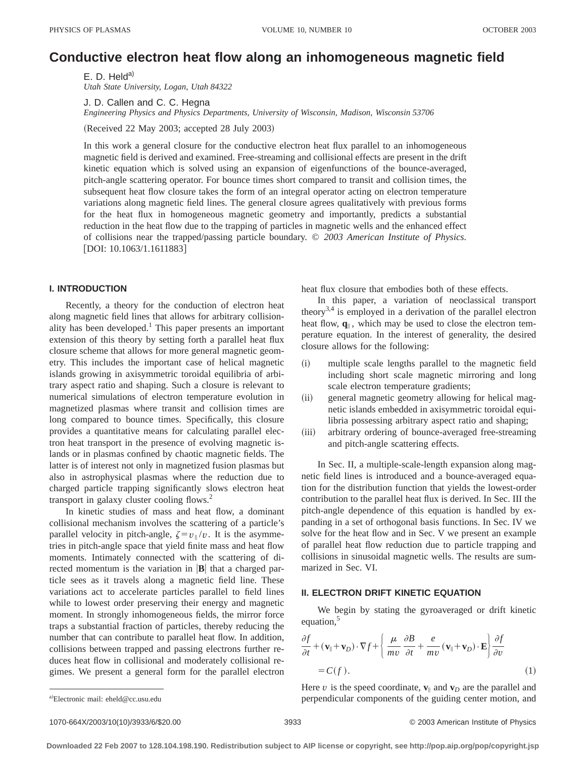# **Conductive electron heat flow along an inhomogeneous magnetic field**

E. D. Held<sup>a)</sup> *Utah State University, Logan, Utah 84322*

J. D. Callen and C. C. Hegna

*Engineering Physics and Physics Departments, University of Wisconsin, Madison, Wisconsin 53706*

(Received 22 May 2003; accepted 28 July 2003)

In this work a general closure for the conductive electron heat flux parallel to an inhomogeneous magnetic field is derived and examined. Free-streaming and collisional effects are present in the drift kinetic equation which is solved using an expansion of eigenfunctions of the bounce-averaged, pitch-angle scattering operator. For bounce times short compared to transit and collision times, the subsequent heat flow closure takes the form of an integral operator acting on electron temperature variations along magnetic field lines. The general closure agrees qualitatively with previous forms for the heat flux in homogeneous magnetic geometry and importantly, predicts a substantial reduction in the heat flow due to the trapping of particles in magnetic wells and the enhanced effect of collisions near the trapped/passing particle boundary. © *2003 American Institute of Physics.*  $[DOI: 10.1063/1.1611883]$ 

## **I. INTRODUCTION**

Recently, a theory for the conduction of electron heat along magnetic field lines that allows for arbitrary collisionality has been developed.1 This paper presents an important extension of this theory by setting forth a parallel heat flux closure scheme that allows for more general magnetic geometry. This includes the important case of helical magnetic islands growing in axisymmetric toroidal equilibria of arbitrary aspect ratio and shaping. Such a closure is relevant to numerical simulations of electron temperature evolution in magnetized plasmas where transit and collision times are long compared to bounce times. Specifically, this closure provides a quantitative means for calculating parallel electron heat transport in the presence of evolving magnetic islands or in plasmas confined by chaotic magnetic fields. The latter is of interest not only in magnetized fusion plasmas but also in astrophysical plasmas where the reduction due to charged particle trapping significantly slows electron heat transport in galaxy cluster cooling flows.<sup>2</sup>

In kinetic studies of mass and heat flow, a dominant collisional mechanism involves the scattering of a particle's parallel velocity in pitch-angle,  $\zeta = v_{\parallel}/v$ . It is the asymmetries in pitch-angle space that yield finite mass and heat flow moments. Intimately connected with the scattering of directed momentum is the variation in  $|\mathbf{B}|$  that a charged particle sees as it travels along a magnetic field line. These variations act to accelerate particles parallel to field lines while to lowest order preserving their energy and magnetic moment. In strongly inhomogeneous fields, the mirror force traps a substantial fraction of particles, thereby reducing the number that can contribute to parallel heat flow. In addition, collisions between trapped and passing electrons further reduces heat flow in collisional and moderately collisional regimes. We present a general form for the parallel electron

heat flux closure that embodies both of these effects.

In this paper, a variation of neoclassical transport theory<sup>3,4</sup> is employed in a derivation of the parallel electron heat flow,  $\mathbf{q}_{\parallel}$ , which may be used to close the electron temperature equation. In the interest of generality, the desired closure allows for the following:

- (i) multiple scale lengths parallel to the magnetic field including short scale magnetic mirroring and long scale electron temperature gradients;
- (ii) general magnetic geometry allowing for helical magnetic islands embedded in axisymmetric toroidal equilibria possessing arbitrary aspect ratio and shaping;
- (iii) arbitrary ordering of bounce-averaged free-streaming and pitch-angle scattering effects.

In Sec. II, a multiple-scale-length expansion along magnetic field lines is introduced and a bounce-averaged equation for the distribution function that yields the lowest-order contribution to the parallel heat flux is derived. In Sec. III the pitch-angle dependence of this equation is handled by expanding in a set of orthogonal basis functions. In Sec. IV we solve for the heat flow and in Sec. V we present an example of parallel heat flow reduction due to particle trapping and collisions in sinusoidal magnetic wells. The results are summarized in Sec. VI.

## **II. ELECTRON DRIFT KINETIC EQUATION**

We begin by stating the gyroaveraged or drift kinetic equation, $5$ 

$$
\frac{\partial f}{\partial t} + (\mathbf{v}_{\parallel} + \mathbf{v}_{D}) \cdot \nabla f + \left\{ \frac{\mu}{mv} \frac{\partial B}{\partial t} + \frac{e}{mv} (\mathbf{v}_{\parallel} + \mathbf{v}_{D}) \cdot \mathbf{E} \right\} \frac{\partial f}{\partial v} \n= C(f).
$$
\n(1)

Here *v* is the speed coordinate,  $\mathbf{v}_{\parallel}$  and  $\mathbf{v}_{D}$  are the parallel and perpendicular components of the guiding center motion, and

1070-664X/2003/10(10)/3933/6/\$20.00 © 2003 American Institute of Physics 3933

Electronic mail: eheld@cc.usu.edu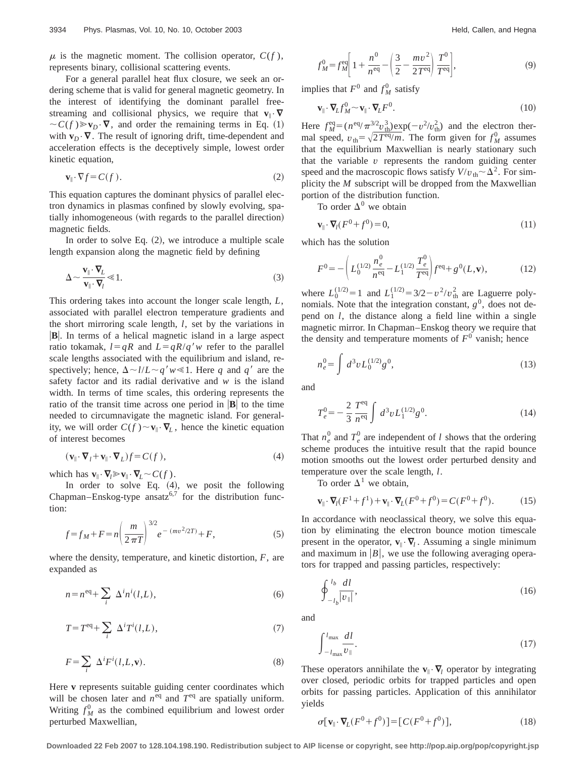$\mu$  is the magnetic moment. The collision operator,  $C(f)$ , represents binary, collisional scattering events.

For a general parallel heat flux closure, we seek an ordering scheme that is valid for general magnetic geometry. In the interest of identifying the dominant parallel freestreaming and collisional physics, we require that  $\mathbf{v}_{\parallel} \cdot \nabla$  $\sim C(f) \gg v_D \cdot \nabla$ , and order the remaining terms in Eq. (1) with  $\mathbf{v}_D \cdot \nabla$ . The result of ignoring drift, time-dependent and acceleration effects is the deceptively simple, lowest order kinetic equation,

$$
\mathbf{v}_{\parallel} \cdot \nabla f = C(f). \tag{2}
$$

This equation captures the dominant physics of parallel electron dynamics in plasmas confined by slowly evolving, spatially inhomogeneous (with regards to the parallel direction) magnetic fields.

In order to solve Eq.  $(2)$ , we introduce a multiple scale length expansion along the magnetic field by defining

$$
\Delta \sim \frac{\mathbf{v}_{\parallel} \cdot \mathbf{\nabla}_L}{\mathbf{v}_{\parallel} \cdot \mathbf{\nabla}_l} \ll 1.
$$
\n(3)

This ordering takes into account the longer scale length, *L*, associated with parallel electron temperature gradients and the short mirroring scale length, *l*, set by the variations in **B**. In terms of a helical magnetic island in a large aspect ratio tokamak,  $l=qR$  and  $L=qR/q'w$  refer to the parallel scale lengths associated with the equilibrium and island, respectively; hence,  $\Delta \sim l/L \sim q'w \ll 1$ . Here *q* and *q'* are the safety factor and its radial derivative and *w* is the island width. In terms of time scales, this ordering represents the ratio of the transit time across one period in  $|\mathbf{B}|$  to the time needed to circumnavigate the magnetic island. For generality, we will order  $C(f) \sim v_{\parallel} \cdot \nabla_L$ , hence the kinetic equation of interest becomes

$$
(\mathbf{v}_{\parallel} \cdot \nabla_l + \mathbf{v}_{\parallel} \cdot \nabla_L)f = C(f),\tag{4}
$$

which has  $\mathbf{v}_{\parallel} \cdot \nabla_l \gg \mathbf{v}_{\parallel} \cdot \nabla_l \sim C(f)$ .

In order to solve Eq.  $(4)$ , we posit the following Chapman–Enskog-type ansatz<sup>6,7</sup> for the distribution function:

$$
f = f_M + F = n \left(\frac{m}{2\pi T}\right)^{3/2} e^{-(mv^2/2T)} + F,\tag{5}
$$

where the density, temperature, and kinetic distortion, *F*, are expanded as

$$
n = n^{eq} + \sum_{i} \Delta^{i} n^{i}(l, L), \qquad (6)
$$

$$
T = Teq + \sum_{i} \Delta^{i} T^{i}(l, L),
$$
\n(7)

$$
F = \sum_{i} \Delta^{i} F^{i}(l, L, \mathbf{v}).
$$
 (8)

Here **v** represents suitable guiding center coordinates which will be chosen later and  $n^{eq}$  and  $T^{eq}$  are spatially uniform. Writing  $f_M^0$  as the combined equilibrium and lowest order perturbed Maxwellian,

$$
f_M^0 = f_M^{\text{eq}} \left[ 1 + \frac{n^0}{n^{\text{eq}}} - \left( \frac{3}{2} - \frac{mv^2}{2T^{\text{eq}}} \right) \frac{T^0}{T^{\text{eq}}} \right],\tag{9}
$$

implies that  $F^0$  and  $f_M^0$  satisfy

$$
\mathbf{v}_{\parallel} \cdot \nabla_L f_M^0 \sim \mathbf{v}_{\parallel} \cdot \nabla_L F^0. \tag{10}
$$

Here  $f_M^{\text{eq}} = (n^{\text{eq}}/\pi^3 \frac{v_{\text{th}}^3}{v_{\text{th}}} \exp(-v^2/v_{\text{th}}^2)$  and the electron thermal speed,  $v_{\text{th}} = \sqrt{2T^{\text{eq}}/m}$ . The form given for  $f_M^0$  assumes that the equilibrium Maxwellian is nearly stationary such that the variable  $v$  represents the random guiding center speed and the macroscopic flows satisfy  $V/v_{\text{th}} \sim \Delta^2$ . For simplicity the *M* subscript will be dropped from the Maxwellian portion of the distribution function.

To order  $\Delta^0$  we obtain

$$
\mathbf{v}_{\parallel} \cdot \nabla_l (F^0 + f^0) = 0, \tag{11}
$$

which has the solution

$$
F^{0} = -\left(L_{0}^{(1/2)}\frac{n_{e}^{0}}{n^{eq}} - L_{1}^{(1/2)}\frac{T_{e}^{0}}{T^{eq}}\right) f^{eq} + g^{0}(L, \mathbf{v}),\tag{12}
$$

where  $L_0^{(1/2)} = 1$  and  $L_1^{(1/2)} = 3/2 - v^2/v_{\text{th}}^2$  are Laguerre polynomials. Note that the integration constant,  $g^0$ , does not depend on *l*, the distance along a field line within a single magnetic mirror. In Chapman–Enskog theory we require that the density and temperature moments of  $F<sup>0</sup>$  vanish; hence

$$
n_e^0 = \int d^3v L_0^{(1/2)} g^0,
$$
\n(13)

and

$$
T_e^0 = -\frac{2}{3} \frac{T^{eq}}{n^{eq}} \int d^3v L_1^{(1/2)} g^0.
$$
 (14)

That  $n_e^0$  and  $T_e^0$  are independent of *l* shows that the ordering scheme produces the intuitive result that the rapid bounce motion smooths out the lowest order perturbed density and temperature over the scale length, *l*.

To order  $\Delta^1$  we obtain,

$$
\mathbf{v}_{\parallel} \cdot \nabla_I (F^1 + f^1) + \mathbf{v}_{\parallel} \cdot \nabla_L (F^0 + f^0) = C(F^0 + f^0). \tag{15}
$$

In accordance with neoclassical theory, we solve this equation by eliminating the electron bounce motion timescale present in the operator,  $\mathbf{v}_{\parallel} \cdot \nabla_l$ . Assuming a single minimum and maximum in  $|B|$ , we use the following averaging operators for trapped and passing particles, respectively:

$$
\oint_{-l_b}^{l_b} \frac{dl}{|v_{\parallel}|},\tag{16}
$$

and

$$
\int_{-l_{\text{max}}}^{l_{\text{max}}} \frac{dl}{v_{\parallel}}.
$$
\n(17)

These operators annihilate the  $\mathbf{v}_{\parallel} \cdot \nabla_l$  operator by integrating over closed, periodic orbits for trapped particles and open orbits for passing particles. Application of this annihilator yields

$$
\sigma[\mathbf{v}_{\parallel} \cdot \mathbf{\nabla}_{\!L}(F^0 + f^0)] = [C(F^0 + f^0)],\tag{18}
$$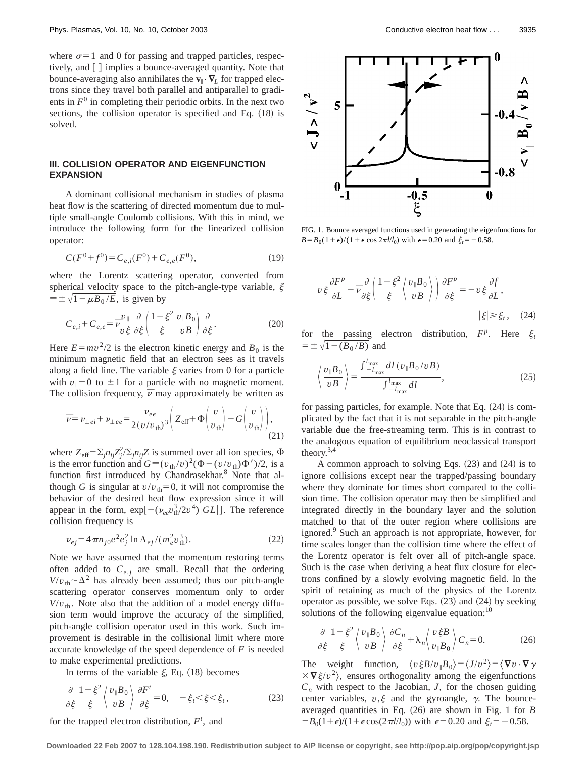where  $\sigma$ =1 and 0 for passing and trapped particles, respectively, and  $\lceil \cdot \rceil$  implies a bounce-averaged quantity. Note that bounce-averaging also annihilates the  $\mathbf{v}_{\parallel} \cdot \nabla_L$  for trapped electrons since they travel both parallel and antiparallel to gradients in  $F<sup>0</sup>$  in completing their periodic orbits. In the next two sections, the collision operator is specified and Eq.  $(18)$  is solved.

## **III. COLLISION OPERATOR AND EIGENFUNCTION EXPANSION**

A dominant collisional mechanism in studies of plasma heat flow is the scattering of directed momentum due to multiple small-angle Coulomb collisions. With this in mind, we introduce the following form for the linearized collision operator:

$$
C(F^{0} + f^{0}) = C_{e,i}(F^{0}) + C_{e,e}(F^{0}),
$$
\n(19)

where the Lorentz scattering operator, converted from spherical velocity space to the pitch-angle-type variable,  $\xi$  $\equiv \pm \sqrt{1-\mu B_0/E}$ , is given by

$$
C_{e,i} + C_{e,e} = \overline{\nu} \frac{\nu_{\parallel}}{\nu \xi} \frac{\partial}{\partial \xi} \left( \frac{1 - \xi^2}{\xi} \frac{v_{\parallel} B_0}{v B} \right) \frac{\partial}{\partial \xi}.
$$
 (20)

Here  $E = mv^2/2$  is the electron kinetic energy and  $B_0$  is the minimum magnetic field that an electron sees as it travels along a field line. The variable  $\xi$  varies from 0 for a particle with  $v_{\parallel}=0$  to  $\pm 1$  for a particle with no magnetic moment. The collision frequency,  $\bar{\nu}$  may approximately be written as

$$
\overline{\nu} = \nu_{\perp ei} + \nu_{\perp ee} = \frac{\nu_{ee}}{2(v/v_{\text{th}})^3} \left( Z_{\text{eff}} + \Phi \left( \frac{v}{v_{\text{th}}} \right) - G \left( \frac{v}{v_{\text{th}}} \right) \right),\tag{21}
$$

where  $Z_{\text{eff}} = \sum_j n_{ij} Z_j^2 / \sum_j n_{ij} Z$  is summed over all ion species,  $\Phi$ is the error function and  $G \equiv (v_{th}/v)^2(\Phi - (v/v_{th})\Phi')/2$ , is a function first introduced by Chandrasekhar.<sup>8</sup> Note that although *G* is singular at  $v/v_{\text{th}}=0$ , it will not compromise the behavior of the desired heat flow expression since it will appear in the form,  $\exp[-(\nu_{ee}v_{\text{th}}^3/2v^4)]GL]$ . The reference collision frequency is

$$
\nu_{ej} = 4 \pi n_{j0} e^2 e_j^2 \ln \Lambda_{ej} / (m_e^2 v_{\text{th}}^3). \tag{22}
$$

Note we have assumed that the momentum restoring terms often added to  $C_{e,i}$  are small. Recall that the ordering  $V/v_{\text{th}} \sim \Delta^2$  has already been assumed; thus our pitch-angle scattering operator conserves momentum only to order  $V/v_{\text{th}}$ . Note also that the addition of a model energy diffusion term would improve the accuracy of the simplified, pitch-angle collision operator used in this work. Such improvement is desirable in the collisional limit where more accurate knowledge of the speed dependence of *F* is needed to make experimental predictions.

In terms of the variable  $\xi$ , Eq. (18) becomes

$$
\frac{\partial}{\partial \xi} \frac{1 - \xi^2}{\xi} \left\langle \frac{v_{\parallel} B_0}{v B} \right\rangle \frac{\partial F^t}{\partial \xi} = 0, \quad -\xi_t \langle \xi \langle \xi_t, \rangle \tag{23}
$$

for the trapped electron distribution,  $F^t$ , and



FIG. 1. Bounce averaged functions used in generating the eigenfunctions for  $B = B_0(1+\epsilon)/(1+\epsilon \cos 2\pi l/l_0)$  with  $\epsilon = 0.20$  and  $\xi_t = -0.58$ .

$$
v\xi\frac{\partial F^p}{\partial L} - \overline{\nu}\frac{\partial}{\partial \xi} \left( \frac{1 - \xi^2}{\xi} \left\langle \frac{v_{\parallel} B_0}{v B} \right\rangle \right) \frac{\partial F^p}{\partial \xi} = -v\xi\frac{\partial f}{\partial L},
$$
  
 
$$
|\xi| \ge \xi_t, \quad (24)
$$

for the passing electron distribution,  $F^p$ . Here  $\xi_t$  $= \pm \sqrt{1 - (B_0/B)}$  and

$$
\left\langle \frac{\nu_{\parallel} B_0}{\nu B} \right\rangle = \frac{\int_{-l_{\text{max}}}^{l_{\text{max}}} dl \left( \nu_{\parallel} B_0 / \nu B \right)}{\int_{-l_{\text{max}}}^{l_{\text{max}}} dl},\tag{25}
$$

for passing particles, for example. Note that Eq.  $(24)$  is complicated by the fact that it is not separable in the pitch-angle variable due the free-streaming term. This is in contrast to the analogous equation of equilibrium neoclassical transport theory.3,4

A common approach to solving Eqs.  $(23)$  and  $(24)$  is to ignore collisions except near the trapped/passing boundary where they dominate for times short compared to the collision time. The collision operator may then be simplified and integrated directly in the boundary layer and the solution matched to that of the outer region where collisions are ignored.<sup>9</sup> Such an approach is not appropriate, however, for time scales longer than the collision time where the effect of the Lorentz operator is felt over all of pitch-angle space. Such is the case when deriving a heat flux closure for electrons confined by a slowly evolving magnetic field. In the spirit of retaining as much of the physics of the Lorentz operator as possible, we solve Eqs.  $(23)$  and  $(24)$  by seeking solutions of the following eigenvalue equation: $10$ 

$$
\frac{\partial}{\partial \xi} \frac{1 - \xi^2}{\xi} \left\langle \frac{v_{\parallel} B_0}{v B} \right\rangle \frac{\partial C_n}{\partial \xi} + \lambda_n \left\langle \frac{v \xi B}{v_{\parallel} B_0} \right\rangle C_n = 0.
$$
 (26)

The weight function,  $\langle v \xi B/v_{\parallel}B_0 \rangle = \langle J/v^2 \rangle = \langle \nabla v \cdot \nabla \gamma$  $\times \nabla \xi/v^2$ , ensures orthogonality among the eigenfunctions  $C_n$  with respect to the Jacobian, *J*, for the chosen guiding center variables,  $v, \xi$  and the gyroangle,  $\gamma$ . The bounceaveraged quantities in Eq.  $(26)$  are shown in Fig. 1 for *B*  $=$ B<sub>0</sub>(1+ $\epsilon$ )/(1+ $\epsilon$ cos(2 $\pi$ l/*l*<sub>0</sub>)) with  $\epsilon$ =0.20 and  $\xi$ <sub>t</sub> = -0.58.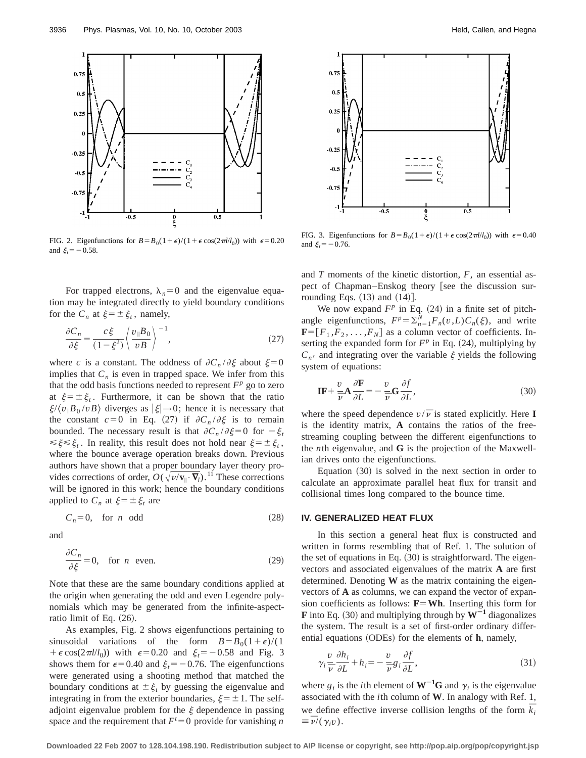

FIG. 2. Eigenfunctions for  $B = B_0(1+\epsilon)/(1+\epsilon \cos(2\pi l/l_0))$  with  $\epsilon = 0.20$ and  $\xi_t = -0.58$ .

For trapped electrons,  $\lambda_n=0$  and the eigenvalue equation may be integrated directly to yield boundary conditions for the  $C_n$  at  $\xi = \pm \xi_t$ , namely,

$$
\frac{\partial C_n}{\partial \xi} = \frac{c \xi}{(1 - \xi^2)} \left\langle \frac{v_{\parallel} B_0}{v B} \right\rangle^{-1},\tag{27}
$$

where *c* is a constant. The oddness of  $\partial C_n / \partial \xi$  about  $\xi = 0$ implies that  $C_n$  is even in trapped space. We infer from this that the odd basis functions needed to represent  $F<sup>p</sup>$  go to zero at  $\xi = \pm \xi_t$ . Furthermore, it can be shown that the ratio  $\frac{\xi}{\psi_0 B_0}$  /*vB* $\}$  diverges as  $|\xi| \rightarrow 0$ ; hence it is necessary that the constant  $c=0$  in Eq. (27) if  $\partial C_n / \partial \xi$  is to remain bounded. The necessary result is that  $\partial C_n / \partial \xi = 0$  for  $-\xi_t$  $\leq \xi \leq \xi_t$ . In reality, this result does not hold near  $\xi = \pm \xi_t$ , where the bounce average operation breaks down. Previous authors have shown that a proper boundary layer theory provides corrections of order,  $O(\sqrt{\nu/\mathbf{v}_{\parallel}\cdot\mathbf{V}_{l}})$ .<sup>11</sup> These corrections will be ignored in this work; hence the boundary conditions applied to  $C_n$  at  $\xi = \pm \xi_t$  are

$$
C_n = 0, \quad \text{for } n \text{ odd} \tag{28}
$$

and

$$
\frac{\partial C_n}{\partial \xi} = 0, \quad \text{for } n \text{ even.} \tag{29}
$$

Note that these are the same boundary conditions applied at the origin when generating the odd and even Legendre polynomials which may be generated from the infinite-aspectratio limit of Eq.  $(26)$ .

As examples, Fig. 2 shows eigenfunctions pertaining to sinusoidal variations of the form  $B = B_0(1+\epsilon)/(1$ +  $\epsilon$  cos(2 $\pi l / l_0$ )) with  $\epsilon$ =0.20 and  $\xi_t$ = -0.58 and Fig. 3 shows them for  $\epsilon$ =0.40 and  $\xi$ <sub>t</sub> = -0.76. The eigenfunctions were generated using a shooting method that matched the boundary conditions at  $\pm \xi_t$  by guessing the eigenvalue and integrating in from the exterior boundaries,  $\xi = \pm 1$ . The selfadjoint eigenvalue problem for the  $\xi$  dependence in passing space and the requirement that  $F^t = 0$  provide for vanishing *n* 



FIG. 3. Eigenfunctions for  $B = B_0(1+\epsilon)/(1+\epsilon \cos(2\pi l/l_0))$  with  $\epsilon = 0.40$ and  $\xi$ <sub>t</sub> = -0.76.

and *T* moments of the kinetic distortion, *F*, an essential aspect of Chapman–Enskog theory [see the discussion surrounding Eqs.  $(13)$  and  $(14)$ ].

We now expand  $F^p$  in Eq. (24) in a finite set of pitchangle eigenfunctions,  $F^p = \sum_{n=1}^{N} F_n(v, L) C_n(\xi)$ , and write  **as a column vector of coefficients. In**serting the expanded form for  $F^p$  in Eq. (24), multiplying by  $C_{n}$  and integrating over the variable  $\xi$  yields the following system of equations:

$$
\mathbf{IF} + \frac{v}{\overline{\nu}} \mathbf{A} \frac{\partial \mathbf{F}}{\partial L} = -\frac{v}{\overline{\nu}} \mathbf{G} \frac{\partial f}{\partial L},\tag{30}
$$

where the speed dependence  $v/\overline{v}$  is stated explicitly. Here **I** is the identity matrix, **A** contains the ratios of the freestreaming coupling between the different eigenfunctions to the *n*th eigenvalue, and **G** is the projection of the Maxwellian drives onto the eigenfunctions.

Equation  $(30)$  is solved in the next section in order to calculate an approximate parallel heat flux for transit and collisional times long compared to the bounce time.

#### **IV. GENERALIZED HEAT FLUX**

In this section a general heat flux is constructed and written in forms resembling that of Ref. 1. The solution of the set of equations in Eq.  $(30)$  is straightforward. The eigenvectors and associated eigenvalues of the matrix **A** are first determined. Denoting **W** as the matrix containing the eigenvectors of **A** as columns, we can expand the vector of expansion coefficients as follows:  $\mathbf{F} = \mathbf{W} \mathbf{h}$ . Inserting this form for **F** into Eq. (30) and multiplying through by  $W^{-1}$  diagonalizes the system. The result is a set of first-order ordinary differential equations  $(ODEs)$  for the elements of  $h$ , namely,

$$
\gamma_i \frac{v}{\overline{v}} \frac{\partial h_i}{\partial L} + h_i = -\frac{v}{\overline{v}} g_i \frac{\partial f}{\partial L},\tag{31}
$$

where  $g_i$  is the *i*th element of  $W^{-1}G$  and  $\gamma_i$  is the eigenvalue associated with the *i*th column of **W**. In analogy with Ref. 1, we define effective inverse collision lengths of the form  $\overline{k}_i$  $\equiv \bar{\nu}/(\gamma_i v).$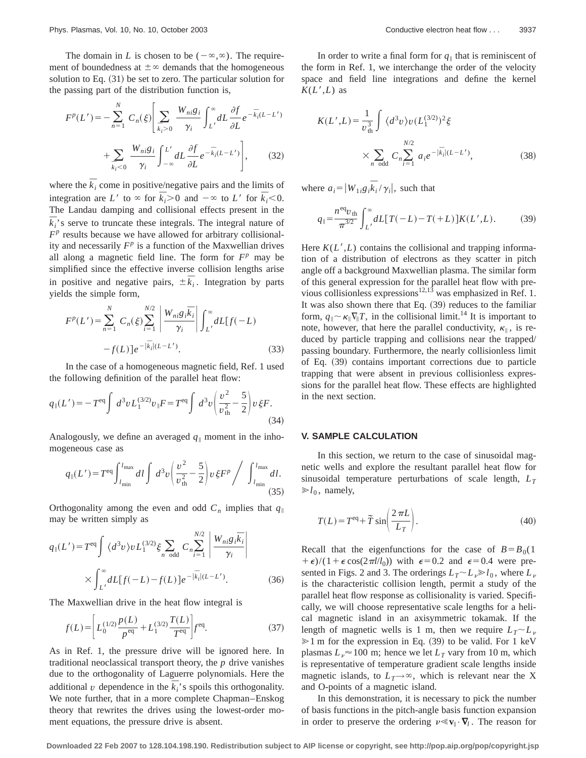The domain in *L* is chosen to be  $(-\infty,\infty)$ . The requirement of boundedness at  $\pm \infty$  demands that the homogeneous solution to Eq.  $(31)$  be set to zero. The particular solution for the passing part of the distribution function is,

$$
F^{p}(L') = -\sum_{n=1}^{N} C_n(\xi) \left[ \sum_{\bar{k}_i>0} \frac{W_{ni}g_i}{\gamma_i} \int_{L'}^{\infty} dL \frac{\partial f}{\partial L} e^{-\bar{k}_i(L-L')} + \sum_{\bar{k}_i<0} \frac{W_{ni}g_i}{\gamma_i} \int_{-\infty}^{L'} dL \frac{\partial f}{\partial L} e^{-\bar{k}_i(L-L')} \right],
$$
 (32)

where the  $\overline{k}_i$  come in positive/negative pairs and the limits of integration are *L'* to  $\infty$  for  $\bar{k}_i$ >0 and  $-\infty$  to *L'* for  $\bar{k}_i$ <0. The Landau damping and collisional effects present in the  $\overline{k}_i$ 's serve to truncate these integrals. The integral nature of  $F<sup>p</sup>$  results because we have allowed for arbitrary collisionality and necessarily  $F^p$  is a function of the Maxwellian drives all along a magnetic field line. The form for  $F^p$  may be simplified since the effective inverse collision lengths arise in positive and negative pairs,  $\pm \overline{k_i}$ . Integration by parts yields the simple form,

$$
F^{p}(L') = \sum_{n=1}^{N} C_n(\xi) \sum_{i=1}^{N/2} \left| \frac{W_{ni}g_i \bar{k}_i}{\gamma_i} \right| \int_{L'}^{\infty} dL[f(-L) - f(L)] e^{-|\bar{k}_i|(L-L')}.
$$
 (33)

In the case of a homogeneous magnetic field, Ref. 1 used the following definition of the parallel heat flow:

$$
q_{\parallel}(L') = -T^{\text{eq}} \int d^3v L_1^{(3/2)} v_{\parallel} F = T^{\text{eq}} \int d^3v \left(\frac{v^2}{v_{\text{th}}^2} - \frac{5}{2}\right) v \, \xi F. \tag{34}
$$

Analogously, we define an averaged  $q_{\parallel}$  moment in the inhomogeneous case as

$$
q_{\parallel}(L') = T^{\text{eq}} \int_{l_{\text{min}}}^{l_{\text{max}}} dl \int d^3v \left(\frac{v^2}{v_{\text{th}}^2} - \frac{5}{2}\right) v \,\xi F^p / \int_{l_{\text{min}}}^{l_{\text{max}}} dl.
$$
 (35)

Orthogonality among the even and odd  $C_n$  implies that  $q_{\parallel}$ may be written simply as

$$
q_{\parallel}(L') = T^{\text{eq}} \int \langle d^3 v \rangle v L_1^{(3/2)} \xi \sum_{n \text{ odd}} C_n \sum_{i=1}^{N/2} \left| \frac{W_{ni} g_i \overline{k}_i}{\gamma_i} \right|
$$

$$
\times \int_{L'}^{\infty} dL[f(-L) - f(L)] e^{-|\overline{k}_i|(L-L')}.
$$
(36)

The Maxwellian drive in the heat flow integral is

$$
f(L) = \left[ L_0^{(1/2)} \frac{p(L)}{p^{eq}} + L_1^{(3/2)} \frac{T(L)}{T^{eq}} \right] f^{eq}.
$$
 (37)

As in Ref. 1, the pressure drive will be ignored here. In traditional neoclassical transport theory, the *p* drive vanishes due to the orthogonality of Laguerre polynomials. Here the additional *v* dependence in the  $\overline{k_i}$ 's spoils this orthogonality. We note further, that in a more complete Chapman–Enskog theory that rewrites the drives using the lowest-order moment equations, the pressure drive is absent.

In order to write a final form for  $q_{\parallel}$  that is reminiscent of the form in Ref. 1, we interchange the order of the velocity space and field line integrations and define the kernel  $K(L', L)$  as

$$
K(L',L) = \frac{1}{v_{\text{th}}^3} \int \langle d^3v \rangle v (L_1^{(3/2)})^2 \xi
$$
  
 
$$
\times \sum_{n \text{ odd}} C_n \sum_{i=1}^{N/2} a_i e^{-|\vec{k}_i|(L-L')}, \qquad (38)
$$

where  $a_i = |W_{1i}g_i\overline{k}_i / \gamma_i|$ , such that

$$
q_{\parallel} = \frac{n^{eq}v_{\text{th}}}{\pi^{3/2}} \int_{L'}^{\infty} dL[T(-L) - T(+L)]K(L',L). \tag{39}
$$

Here  $K(L', L)$  contains the collisional and trapping information of a distribution of electrons as they scatter in pitch angle off a background Maxwellian plasma. The similar form of this general expression for the parallel heat flow with previous collisionless expressions<sup>12,13</sup> was emphasized in Ref. 1. It was also shown there that Eq.  $(39)$  reduces to the familiar form,  $q_{\parallel} \sim \kappa_{\parallel} \nabla_{\parallel} T$ , in the collisional limit.<sup>14</sup> It is important to note, however, that here the parallel conductivity,  $\kappa_{\parallel}$ , is reduced by particle trapping and collisions near the trapped/ passing boundary. Furthermore, the nearly collisionless limit of Eq. (39) contains important corrections due to particle trapping that were absent in previous collisionless expressions for the parallel heat flow. These effects are highlighted in the next section.

#### **V. SAMPLE CALCULATION**

In this section, we return to the case of sinusoidal magnetic wells and explore the resultant parallel heat flow for sinusoidal temperature perturbations of scale length,  $L_T$  $\gg l_0$ , namely,

$$
T(L) = Teq + \tilde{T} \sin\left(\frac{2\pi L}{L_T}\right).
$$
 (40)

Recall that the eigenfunctions for the case of  $B = B<sub>0</sub>(1)$  $+\epsilon$ /(1+ $\epsilon$ cos(2 $\pi$ *l*/*l*<sub>0</sub>)) with  $\epsilon$ =0.2 and  $\epsilon$ =0.4 were presented in Figs. 2 and 3. The orderings  $L_T \sim L_v \gg l_0$ , where  $L_v$ is the characteristic collision length, permit a study of the parallel heat flow response as collisionality is varied. Specifically, we will choose representative scale lengths for a helical magnetic island in an axisymmetric tokamak. If the length of magnetic wells is 1 m, then we require  $L_T \sim L_\nu$  $\geq 1$  m for the expression in Eq. (39) to be valid. For 1 keV plasmas  $L_v \approx 100$  m; hence we let  $L_T$  vary from 10 m, which is representative of temperature gradient scale lengths inside magnetic islands, to  $L_T \rightarrow \infty$ , which is relevant near the X and O-points of a magnetic island.

In this demonstration, it is necessary to pick the number of basis functions in the pitch-angle basis function expansion in order to preserve the ordering  $\nu \ll \mathbf{v}_{\parallel} \cdot \nabla_l$ . The reason for